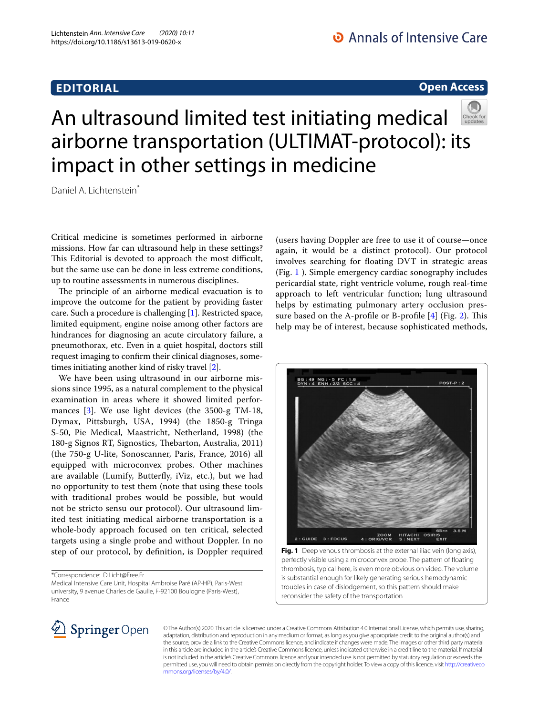## **EDITORIAL**

## **Open Access**



# An ultrasound limited test initiating medical airborne transportation (ULTIMAT-protocol): its impact in other settings in medicine

Daniel A. Lichtenstein\*

Critical medicine is sometimes performed in airborne missions. How far can ultrasound help in these settings? This Editorial is devoted to approach the most difficult, but the same use can be done in less extreme conditions, up to routine assessments in numerous disciplines.

The principle of an airborne medical evacuation is to improve the outcome for the patient by providing faster care. Such a procedure is challenging [\[1](#page-2-0)]. Restricted space, limited equipment, engine noise among other factors are hindrances for diagnosing an acute circulatory failure, a pneumothorax, etc. Even in a quiet hospital, doctors still request imaging to confrm their clinical diagnoses, sometimes initiating another kind of risky travel [\[2\]](#page-2-1).

We have been using ultrasound in our airborne missions since 1995, as a natural complement to the physical examination in areas where it showed limited performances [[3\]](#page-2-2). We use light devices (the 3500-g TM-18, Dymax, Pittsburgh, USA, 1994) (the 1850-g Tringa S-50, Pie Medical, Maastricht, Netherland, 1998) (the 180-g Signos RT, Signostics, Thebarton, Australia, 2011) (the 750-g U-lite, Sonoscanner, Paris, France, 2016) all equipped with microconvex probes. Other machines are available (Lumify, Butterfy, iViz, etc.), but we had no opportunity to test them (note that using these tools with traditional probes would be possible, but would not be stricto sensu our protocol). Our ultrasound limited test initiating medical airborne transportation is a whole-body approach focused on ten critical, selected targets using a single probe and without Doppler. In no step of our protocol, by defnition, is Doppler required

\*Correspondence: D.Licht@Free.Fr

Medical Intensive Care Unit, Hospital Ambroise Paré (AP-HP), Paris-West university, 9 avenue Charles de Gaulle, F-92100 Boulogne (Paris-West), France

(users having Doppler are free to use it of course—once again, it would be a distinct protocol). Our protocol involves searching for foating DVT in strategic areas (Fig. [1 \)](#page-0-0). Simple emergency cardiac sonography includes pericardial state, right ventricle volume, rough real-time approach to left ventricular function; lung ultrasound helps by estimating pulmonary artery occlusion pressure based on the A-profile or B-profile  $[4]$  $[4]$  (Fig. [2\)](#page-1-0). This help may be of interest, because sophisticated methods,



<span id="page-0-0"></span>**Fig. 1** Deep venous thrombosis at the external iliac vein (long axis), perfectly visible using a microconvex probe. The pattern of foating thrombosis, typical here, is even more obvious on video. The volume is substantial enough for likely generating serious hemodynamic troubles in case of dislodgement, so this pattern should make reconsider the safety of the transportation



© The Author(s) 2020. This article is licensed under a Creative Commons Attribution 4.0 International License, which permits use, sharing, adaptation, distribution and reproduction in any medium or format, as long as you give appropriate credit to the original author(s) and the source, provide a link to the Creative Commons licence, and indicate if changes were made. The images or other third party material in this article are included in the article's Creative Commons licence, unless indicated otherwise in a credit line to the material. If material is not included in the article's Creative Commons licence and your intended use is not permitted by statutory regulation or exceeds the permitted use, you will need to obtain permission directly from the copyright holder. To view a copy of this licence, visit [http://creativeco](http://creativecommons.org/licenses/by/4.0/) [mmons.org/licenses/by/4.0/.](http://creativecommons.org/licenses/by/4.0/)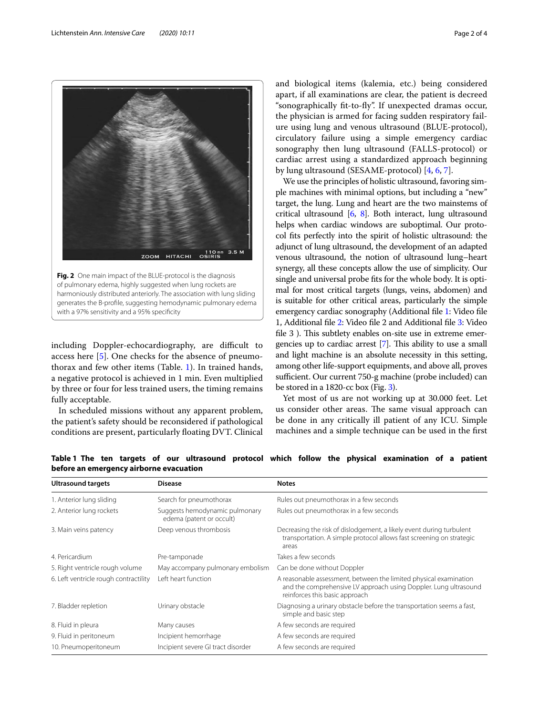

<span id="page-1-0"></span>of pulmonary edema, highly suggested when lung rockets are harmoniously distributed anteriorly. The association with lung sliding generates the B-profle, suggesting hemodynamic pulmonary edema with a 97% sensitivity and a 95% specifcity

including Doppler-echocardiography, are difficult to access here [[5\]](#page-2-4). One checks for the absence of pneumothorax and few other items (Table. [1](#page-1-1)). In trained hands, a negative protocol is achieved in 1 min. Even multiplied by three or four for less trained users, the timing remains fully acceptable.

In scheduled missions without any apparent problem, the patient's safety should be reconsidered if pathological conditions are present, particularly foating DVT. Clinical and biological items (kalemia, etc.) being considered apart, if all examinations are clear, the patient is decreed "sonographically ft-to-fy". If unexpected dramas occur, the physician is armed for facing sudden respiratory failure using lung and venous ultrasound (BLUE-protocol), circulatory failure using a simple emergency cardiac sonography then lung ultrasound (FALLS-protocol) or cardiac arrest using a standardized approach beginning by lung ultrasound (SESAME-protocol) [[4,](#page-2-3) [6](#page-3-0), [7](#page-3-1)].

We use the principles of holistic ultrasound, favoring simple machines with minimal options, but including a "new" target, the lung. Lung and heart are the two mainstems of critical ultrasound [\[6,](#page-3-0) [8](#page-3-2)]. Both interact, lung ultrasound helps when cardiac windows are suboptimal. Our protocol fts perfectly into the spirit of holistic ultrasound: the adjunct of lung ultrasound, the development of an adapted venous ultrasound, the notion of ultrasound lung–heart synergy, all these concepts allow the use of simplicity. Our single and universal probe fts for the whole body. It is optimal for most critical targets (lungs, veins, abdomen) and is suitable for other critical areas, particularly the simple emergency cardiac sonography (Additional fle [1](#page-2-5): Video fle 1, Additional fle [2:](#page-2-6) Video fle 2 and Additional fle [3:](#page-2-7) Video file 3). This subtlety enables on-site use in extreme emergencies up to cardiac arrest  $[7]$ . This ability to use a small and light machine is an absolute necessity in this setting, among other life-support equipments, and above all, proves sufficient. Our current 750-g machine (probe included) can be stored in a 1820-cc box (Fig. [3\)](#page-2-8).

Yet most of us are not working up at 30.000 feet. Let us consider other areas. The same visual approach can be done in any critically ill patient of any ICU. Simple machines and a simple technique can be used in the frst

| <b>Ultrasound targets</b>             | <b>Disease</b>                                             | <b>Notes</b>                                                                                                                                                            |
|---------------------------------------|------------------------------------------------------------|-------------------------------------------------------------------------------------------------------------------------------------------------------------------------|
| 1. Anterior lung sliding              | Search for pneumothorax                                    | Rules out pneumothorax in a few seconds                                                                                                                                 |
| 2. Anterior lung rockets              | Suggests hemodynamic pulmonary<br>edema (patent or occult) | Rules out pneumothorax in a few seconds                                                                                                                                 |
| 3. Main veins patency                 | Deep venous thrombosis                                     | Decreasing the risk of dislodgement, a likely event during turbulent<br>transportation. A simple protocol allows fast screening on strategic<br>areas                   |
| 4. Pericardium                        | Pre-tamponade                                              | Takes a few seconds                                                                                                                                                     |
| 5. Right ventricle rough volume       | May accompany pulmonary embolism                           | Can be done without Doppler                                                                                                                                             |
| 6. Left ventricle rough contractility | Left heart function                                        | A reasonable assessment, between the limited physical examination<br>and the comprehensive LV approach using Doppler. Lung ultrasound<br>reinforces this basic approach |
| 7. Bladder repletion                  | Urinary obstacle                                           | Diagnosing a urinary obstacle before the transportation seems a fast,<br>simple and basic step                                                                          |
| 8. Fluid in pleura                    | Many causes                                                | A few seconds are required                                                                                                                                              |
| 9. Fluid in peritoneum                | Incipient hemorrhage                                       | A few seconds are required                                                                                                                                              |
| 10. Pneumoperitoneum                  | Incipient severe GI tract disorder                         | A few seconds are required                                                                                                                                              |

<span id="page-1-1"></span>**Table 1 The ten targets of our ultrasound protocol which follow the physical examination of a patient before an emergency airborne evacuation**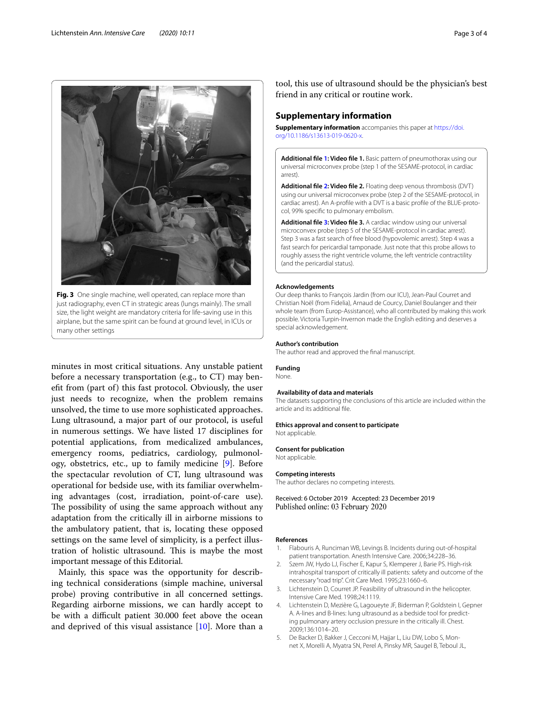

**Fig. 3** One single machine, well operated, can replace more than just radiography, even CT in strategic areas (lungs mainly). The small size, the light weight are mandatory criteria for life-saving use in this airplane, but the same spirit can be found at ground level, in ICUs or many other settings

<span id="page-2-8"></span>minutes in most critical situations. Any unstable patient before a necessary transportation (e.g., to CT) may beneft from (part of) this fast protocol. Obviously, the user just needs to recognize, when the problem remains unsolved, the time to use more sophisticated approaches. Lung ultrasound, a major part of our protocol, is useful in numerous settings. We have listed 17 disciplines for potential applications, from medicalized ambulances, emergency rooms, pediatrics, cardiology, pulmonology, obstetrics, etc., up to family medicine [[9\]](#page-3-3). Before the spectacular revolution of CT, lung ultrasound was operational for bedside use, with its familiar overwhelming advantages (cost, irradiation, point-of-care use). The possibility of using the same approach without any adaptation from the critically ill in airborne missions to the ambulatory patient, that is, locating these opposed settings on the same level of simplicity, is a perfect illustration of holistic ultrasound. This is maybe the most important message of this Editorial.

Mainly, this space was the opportunity for describing technical considerations (simple machine, universal probe) proving contributive in all concerned settings. Regarding airborne missions, we can hardly accept to be with a difficult patient 30.000 feet above the ocean and deprived of this visual assistance [\[10](#page-3-4)]. More than a

tool, this use of ultrasound should be the physician's best friend in any critical or routine work.

#### **Supplementary information**

**Supplementary information** accompanies this paper at [https://doi.](https://doi.org/10.1186/s13613-019-0620-x) [org/10.1186/s13613-019-0620-x](https://doi.org/10.1186/s13613-019-0620-x).

<span id="page-2-5"></span>**Additional fle [1](#page-2-5): Video fle 1.** Basic pattern of pneumothorax using our universal microconvex probe (step 1 of the SESAME-protocol, in cardiac arrest).

<span id="page-2-6"></span>**Additional fle [2](#page-2-6): Video fle 2.** Floating deep venous thrombosis (DVT) using our universal microconvex probe (step 2 of the SESAME-protocol, in cardiac arrest). An A-profle with a DVT is a basic profle of the BLUE-protocol, 99% specifc to pulmonary embolism.

<span id="page-2-7"></span>**Additional fle [3](#page-2-7): Video fle 3.** A cardiac window using our universal microconvex probe (step 5 of the SESAME-protocol in cardiac arrest). Step 3 was a fast search of free blood (hypovolemic arrest). Step 4 was a fast search for pericardial tamponade. Just note that this probe allows to roughly assess the right ventricle volume, the left ventricle contractility (and the pericardial status).

#### **Acknowledgements**

Our deep thanks to François Jardin (from our ICU), Jean-Paul Courret and Christian Noël (from Fidelia), Arnaud de Courcy, Daniel Boulanger and their whole team (from Europ-Assistance), who all contributed by making this work possible. Victoria Turpin-Invernon made the English editing and deserves a special acknowledgement.

#### **Author's contribution**

The author read and approved the fnal manuscript.

#### **Funding**

None.

#### **Availability of data and materials**

The datasets supporting the conclusions of this article are included within the article and its additional fle.

#### **Ethics approval and consent to participate**

Not applicable.

#### **Consent for publication** Not applicable.

**Competing interests**

The author declares no competing interests.

Received: 6 October 2019 Accepted: 23 December 2019 Published online: 03 February 2020

#### **References**

- <span id="page-2-0"></span>1. Flabouris A, Runciman WB, Levings B. Incidents during out-of-hospital patient transportation. Anesth Intensive Care. 2006;34:228–36.
- <span id="page-2-1"></span>2. Szem JW, Hydo LJ, Fischer E, Kapur S, Klemperer J, Barie PS. High-risk intrahospital transport of critically ill patients: safety and outcome of the necessary "road trip". Crit Care Med. 1995;23:1660–6.
- <span id="page-2-2"></span>3. Lichtenstein D, Courret JP. Feasibility of ultrasound in the helicopter. Intensive Care Med. 1998;24:1119.
- <span id="page-2-3"></span>4. Lichtenstein D, Mezière G, Lagoueyte JF, Biderman P, Goldstein I, Gepner A. A-lines and B-lines: lung ultrasound as a bedside tool for predicting pulmonary artery occlusion pressure in the critically ill. Chest. 2009;136:1014–20.
- <span id="page-2-4"></span>5. De Backer D, Bakker J, Cecconi M, Hajjar L, Liu DW, Lobo S, Monnet X, Morelli A, Myatra SN, Perel A, Pinsky MR, Saugel B, Teboul JL,